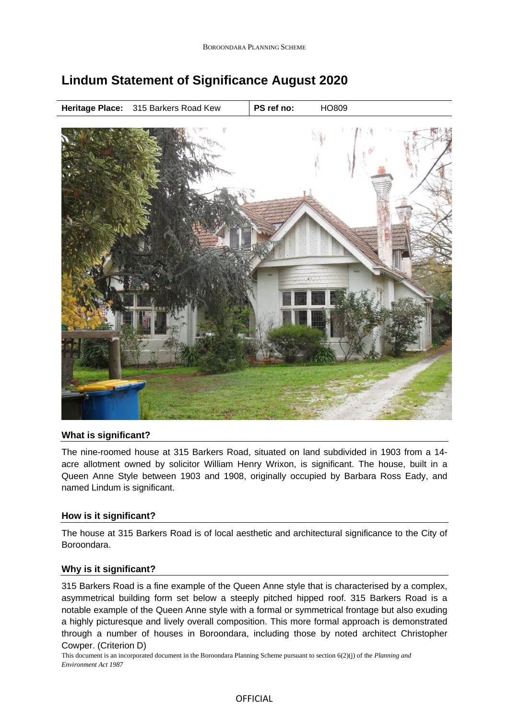

# **Lindum Statement of Significance August 2020**

## **What is significant?**

The nine-roomed house at 315 Barkers Road, situated on land subdivided in 1903 from a 14 acre allotment owned by solicitor William Henry Wrixon, is significant. The house, built in a Queen Anne Style between 1903 and 1908, originally occupied by Barbara Ross Eady, and named Lindum is significant.

## **How is it significant?**

The house at 315 Barkers Road is of local aesthetic and architectural significance to the City of Boroondara.

#### **Why is it significant?**

315 Barkers Road is a fine example of the Queen Anne style that is characterised by a complex, asymmetrical building form set below a steeply pitched hipped roof. 315 Barkers Road is a notable example of the Queen Anne style with a formal or symmetrical frontage but also exuding a highly picturesque and lively overall composition. This more formal approach is demonstrated through a number of houses in Boroondara, including those by noted architect Christopher Cowper. (Criterion D)

This document is an incorporated document in the Boroondara Planning Scheme pursuant to section 6(2)(j) of the *Planning and Environment Act 1987*